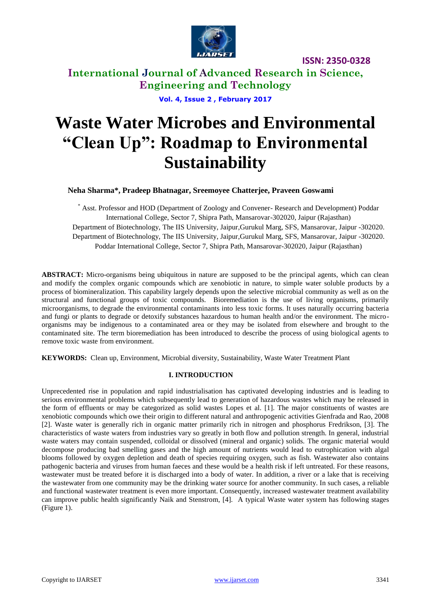

**International Journal of Advanced Research in Science, Engineering and Technology**

**Vol. 4, Issue 2 , February 2017**

# **Waste Water Microbes and Environmental "Clean Up": Roadmap to Environmental Sustainability**

### **Neha Sharma\*, Pradeep Bhatnagar, Sreemoyee Chatterjee, Praveen Goswami**

\* Asst. Professor and HOD (Department of Zoology and Convener- Research and Development) Poddar International College, Sector 7, Shipra Path, Mansarovar-302020, Jaipur (Rajasthan) Department of Biotechnology, The IIS University, Jaipur,Gurukul Marg, SFS, Mansarovar, Jaipur -302020. Department of Biotechnology, The IIS University, Jaipur,Gurukul Marg, SFS, Mansarovar, Jaipur -302020. Poddar International College, Sector 7, Shipra Path, Mansarovar-302020, Jaipur (Rajasthan)

**ABSTRACT:** Micro-organisms being ubiquitous in nature are supposed to be the principal agents, which can clean and modify the complex organic compounds which are xenobiotic in nature, to simple water soluble products by a process of biomineralization. This capability largely depends upon the selective microbial community as well as on the structural and functional groups of toxic compounds. Bioremediation is the use of living organisms, primarily microorganisms, to degrade the environmental contaminants into less toxic forms. It uses naturally occurring bacteria and fungi or plants to degrade or detoxify substances hazardous to human health and/or the environment. The microorganisms may be indigenous to a contaminated area or they may be isolated from elsewhere and brought to the contaminated site. The term bioremediation has been introduced to describe the process of using biological agents to remove toxic waste from environment.

**KEYWORDS:** Clean up, Environment, Microbial diversity, Sustainability, Waste Water Treatment Plant

#### **I. INTRODUCTION**

Unprecedented rise in population and rapid industrialisation has captivated developing industries and is leading to serious environmental problems which subsequently lead to generation of hazardous wastes which may be released in the form of effluents or may be categorized as solid wastes Lopes et al. [1]. The major constituents of wastes are xenobiotic compounds which owe their origin to different natural and anthropogenic activities Gienfrada and Rao, 2008 [2]. Waste water is generally rich in organic matter primarily rich in nitrogen and phosphorus Fredrikson, [3]. The characteristics of waste waters from industries vary so greatly in both flow and pollution strength. In general, industrial waste waters may contain suspended, colloidal or dissolved (mineral and organic) solids. The organic material would decompose producing bad smelling gases and the high amount of nutrients would lead to eutrophication with algal blooms followed by oxygen depletion and death of species requiring oxygen, such as fish. Wastewater also contains pathogenic bacteria and viruses from human faeces and these would be a health risk if left untreated. For these reasons, wastewater must be treated before it is discharged into a body of water. In addition, a river or a lake that is receiving the wastewater from one community may be the drinking water source for another community. In such cases, a reliable and functional wastewater treatment is even more important. Consequently, increased wastewater treatment availability can improve public health significantly Naik and Stenstrom, [4]. A typical Waste water system has following stages (Figure 1).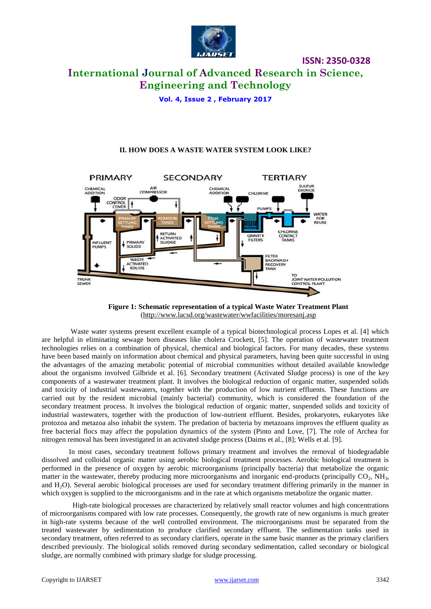

### **International Journal of Advanced Research in Science, Engineering and Technology**

**Vol. 4, Issue 2 , February 2017**

#### **II. HOW DOES A WASTE WATER SYSTEM LOOK LIKE?**





 Waste water systems present excellent example of a typical biotechnological process Lopes et al. [4] which are helpful in eliminating sewage born diseases like cholera Crockett, [5]. The operation of wastewater treatment technologies relies on a combination of physical, chemical and biological factors. For many decades, these systems have been based mainly on information about chemical and physical parameters, having been quite successful in using the advantages of the amazing metabolic potential of microbial communities without detailed available knowledge about the organisms involved Gilbride et al. [6]. Secondary treatment (Activated Sludge process) is one of the key components of a wastewater treatment plant. It involves the biological reduction of organic matter, suspended solids and toxicity of industrial wastewaters, together with the production of low nutrient effluents. These functions are carried out by the resident microbial (mainly bacterial) community, which is considered the foundation of the secondary treatment process. It involves the biological reduction of organic matter, suspended solids and toxicity of industrial wastewaters, together with the production of low-nutrient effluent. Besides, prokaryotes, eukaryotes like protozoa and metazoa also inhabit the system. The predation of bacteria by metazoans improves the effluent quality as free bacterial flocs may affect the population dynamics of the system (Pinto and Love, [7]. The role of Archea for nitrogen removal has been investigated in an activated sludge process (Daims et al., [8]; Wells et al. [9].

 In most cases, secondary treatment follows primary treatment and involves the removal of biodegradable dissolved and colloidal organic matter using aerobic biological treatment processes. Aerobic biological treatment is performed in the presence of oxygen by aerobic microorganisms (principally bacteria) that metabolize the organic matter in the wastewater, thereby producing more microorganisms and inorganic end-products (principally  $CO<sub>2</sub>$ , NH<sub>3</sub>, and H2O). Several aerobic biological processes are used for secondary treatment differing primarily in the manner in which oxygen is supplied to the microorganisms and in the rate at which organisms metabolize the organic matter.

 High-rate biological processes are characterized by relatively small reactor volumes and high concentrations of microorganisms compared with low rate processes. Consequently, the growth rate of new organisms is much greater in high-rate systems because of the well controlled environment. The microorganisms must be separated from the treated wastewater by sedimentation to produce clarified secondary effluent. The sedimentation tanks used in secondary treatment, often referred to as secondary clarifiers, operate in the same basic manner as the primary clarifiers described previously. The biological solids removed during secondary sedimentation, called secondary or biological sludge, are normally combined with primary sludge for sludge processing.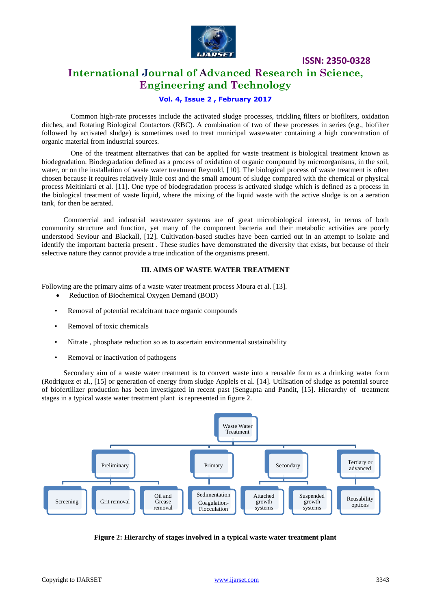

### **International Journal of Advanced Research in Science, Engineering and Technology**

#### **Vol. 4, Issue 2 , February 2017**

 Common high-rate processes include the activated sludge processes, trickling filters or biofilters, oxidation ditches, and Rotating Biological Contactors (RBC). A combination of two of these processes in series (e.g., biofilter followed by activated sludge) is sometimes used to treat municipal wastewater containing a high concentration of organic material from industrial sources.

 One of the treatment alternatives that can be applied for waste treatment is biological treatment known as biodegradation. Biodegradation defined as a process of oxidation of organic compound by microorganisms, in the soil, water, or on the installation of waste water treatment Reynold, [10]. The biological process of waste treatment is often chosen because it requires relatively little cost and the small amount of sludge compared with the chemical or physical process Meitiniarti et al. [11]. One type of biodegradation process is activated sludge which is defined as a process in the biological treatment of waste liquid, where the mixing of the liquid waste with the active sludge is on a aeration tank, for then be aerated.

 Commercial and industrial wastewater systems are of great microbiological interest, in terms of both community structure and function, yet many of the component bacteria and their metabolic activities are poorly understood Seviour and Blackall, [12]. Cultivation-based studies have been carried out in an attempt to isolate and identify the important bacteria present . These studies have demonstrated the diversity that exists, but because of their selective nature they cannot provide a true indication of the organisms present.

#### **III. AIMS OF WASTE WATER TREATMENT**

Following are the primary aims of a waste water treatment process Moura et al. [13].

- Reduction of Biochemical Oxygen Demand (BOD)
- Removal of potential recalcitrant trace organic compounds
- Removal of toxic chemicals
- Nitrate , phosphate reduction so as to ascertain environmental sustainability
- Removal or inactivation of pathogens

 Secondary aim of a waste water treatment is to convert waste into a reusable form as a drinking water form (Rodriguez et al., [15] or generation of energy from sludge Applels et al. [14]. Utilisation of sludge as potential source of biofertilizer production has been investigated in recent past (Sengupta and Pandit, [15]. Hierarchy of treatment stages in a typical waste water treatment plant is represented in figure 2.



**Figure 2: Hierarchy of stages involved in a typical waste water treatment plant**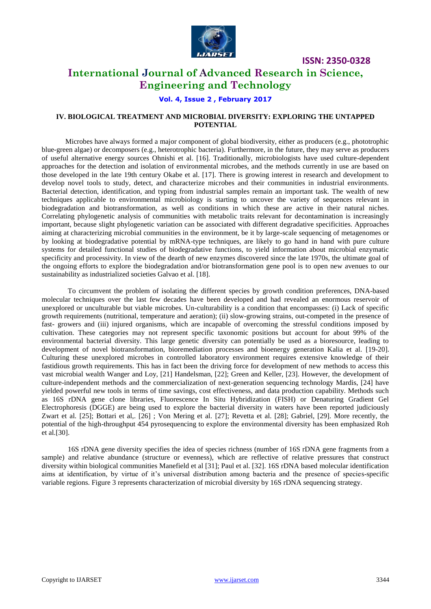

### **International Journal of Advanced Research in Science, Engineering and Technology**

#### **Vol. 4, Issue 2 , February 2017**

#### **IV. BIOLOGICAL TREATMENT AND MICROBIAL DIVERSITY: EXPLORING THE UNTAPPED POTENTIAL**

 Microbes have always formed a major component of global biodiversity, either as producers (e.g., phototrophic blue-green algae) or decomposers (e.g., heterotrophic bacteria). Furthermore, in the future, they may serve as producers of useful alternative energy sources Ohnishi et al. [16]. Traditionally, microbiologists have used culture-dependent approaches for the detection and isolation of environmental microbes, and the methods currently in use are based on those developed in the late 19th century Okabe et al. [17]. There is growing interest in research and development to develop novel tools to study, detect, and characterize microbes and their communities in industrial environments. Bacterial detection, identification, and typing from industrial samples remain an important task. The wealth of new techniques applicable to environmental microbiology is starting to uncover the variety of sequences relevant in biodegradation and biotransformation, as well as conditions in which these are active in their natural niches. Correlating phylogenetic analysis of communities with metabolic traits relevant for decontamination is increasingly important, because slight phylogenetic variation can be associated with different degradative specificities. Approaches aiming at characterizing microbial communities in the environment, be it by large-scale sequencing of metagenomes or by looking at biodegradative potential by mRNA-type techniques, are likely to go hand in hand with pure culture systems for detailed functional studies of biodegradative functions, to yield information about microbial enzymatic specificity and processivity. In view of the dearth of new enzymes discovered since the late 1970s, the ultimate goal of the ongoing efforts to explore the biodegradation and/or biotransformation gene pool is to open new avenues to our sustainability as industrialized societies Galvao et al. [18].

To circumvent the problem of isolating the different species by growth condition preferences, DNA-based molecular techniques over the last few decades have been developed and had revealed an enormous reservoir of unexplored or unculturable but viable microbes. Un-culturability is a condition that encompasses: (i) Lack of specific growth requirements (nutritional, temperature and aeration); (ii) slow-growing strains, out-competed in the presence of fast- growers and (iii) injured organisms, which are incapable of overcoming the stressful conditions imposed by cultivation. These categories may not represent specific taxonomic positions but account for about 99% of the environmental bacterial diversity. This large genetic diversity can potentially be used as a bioresource, leading to development of novel biotransformation, bioremediation processes and bioenergy generation Kalia et al. [19-20]. Culturing these unexplored microbes in controlled laboratory environment requires extensive knowledge of their fastidious growth requirements. This has in fact been the driving force for development of new methods to access this vast microbial wealth Wanger and Loy, [21] Handelsman, [22]; Green and Keller, [23]. However, the development of culture-independent methods and the commercialization of next-generation sequencing technology Mardis, [24] have yielded powerful new tools in terms of time savings, cost effectiveness, and data production capability. Methods such as 16S rDNA gene clone libraries, Fluorescence In Situ Hybridization (FISH) or Denaturing Gradient Gel Electrophoresis (DGGE) are being used to explore the bacterial diversity in waters have been reported judiciously Zwart et al*.* [25]; Bottari et al,. [26] ; Von Mering et al. [27]; Revetta et al. [28]; Gabriel, [29]. More recently, the potential of the high-throughput 454 pyrosequencing to explore the environmental diversity has been emphasized Roh et al*.*[30].

16S rDNA gene diversity specifies the idea of species richness (number of 16S rDNA gene fragments from a sample) and relative abundance (structure or evenness), which are reflective of relative pressures that construct diversity within biological communities Manefield et al [31]; Paul et al. [32]. 16S rDNA based molecular identification aims at identification, by virtue of it's universal distribution among bacteria and the presence of species-specific variable regions. Figure 3 represents characterization of microbial diversity by 16S rDNA sequencing strategy.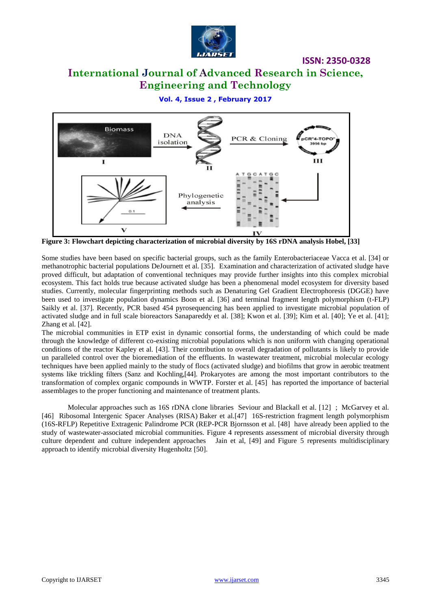

## **International Journal of Advanced Research in Science, Engineering and Technology**

**Vol. 4, Issue 2 , February 2017**



**Figure 3: Flowchart depicting characterization of microbial diversity by 16S rDNA analysis Hobel, [33]**

Some studies have been based on specific bacterial groups, such as the family Enterobacteriaceae Vacca et al. [34] or methanotrophic bacterial populations DeJournett et al. [35]. Examination and characterization of activated sludge have proved difficult, but adaptation of conventional techniques may provide further insights into this complex microbial ecosystem. This fact holds true because activated sludge has been a phenomenal model ecosystem for diversity based studies. Currently, molecular fingerprinting methods such as Denaturing Gel Gradient Electrophoresis (DGGE) have been used to investigate population dynamics Boon et al. [36] and terminal fragment length polymorphism (t-FLP) Saikly et al. [37]. Recently, PCR based 454 pyrosequencing has been applied to investigate microbial population of activated sludge and in full scale bioreactors Sanapareddy et al. [38]; Kwon et al. [39]; Kim et al. [40]; Ye et al. [41]; Zhang et al. [42].

The microbial communities in ETP exist in dynamic consortial forms, the understanding of which could be made through the knowledge of different co-existing microbial populations which is non uniform with changing operational conditions of the reactor Kapley et al. [43]. Their contribution to overall degradation of pollutants is likely to provide un paralleled control over the bioremediation of the effluents. In wastewater treatment, microbial molecular ecology techniques have been applied mainly to the study of flocs (activated sludge) and biofilms that grow in aerobic treatment systems like trickling filters (Sanz and Kochling,[44]. Prokaryotes are among the most important contributors to the transformation of complex organic compounds in WWTP. Forster [et al. \[45\]](http://www.sciencedirect.com/science/article/pii/S0944501307000857?np=y#bib10) has reported the importance of bacterial assemblages to the proper functioning and maintenance of treatment plants.

Molecular approaches such as 16S rDNA clone libraries Seviour and [Blackall et al. \[12\]](http://www.sciencedirect.com/science/article/pii/S0944501307000857?np=y#bib5) ; [McGarvey et](http://www.sciencedirect.com/science/article/pii/S0944501307000857?np=y#bib20) al. [\[46\]](http://www.sciencedirect.com/science/article/pii/S0944501307000857?np=y#bib20) Ribosomal Intergenic Spacer Analyses (RISA) [Baker et al.\[47\]](http://www.sciencedirect.com/science/article/pii/S0944501307000857?np=y#bib4) 16S-restriction fragment length polymorphism (16S-RFLP) Repetitive Extragenic Palindrome PCR (REP-PCR [Bjornsson et al. \[48\]](http://www.sciencedirect.com/science/article/pii/S0944501307000857?np=y#bib3) have already been applied to the study of wastewater-associated microbial communities. Figure 4 represents assessment of microbial diversity through culture dependent and culture independent approaches Jain et al, [49] and Figure 5 represents multidisciplinary approach to identify microbial diversity Hugenholtz [50].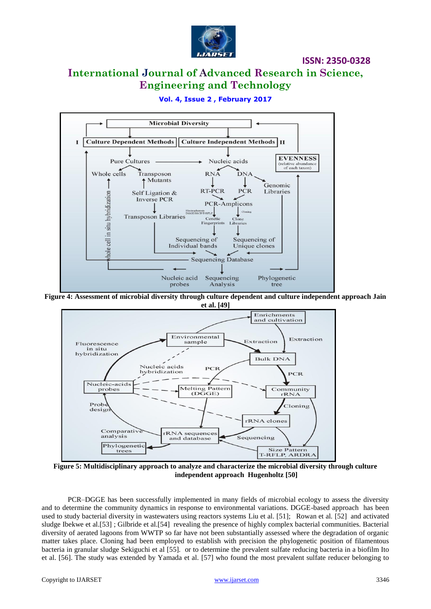

**ISSN: 2350-0328**

### **International Journal of Advanced Research in Science, Engineering and Technology**

#### **Microbial Diversity** Culture Dependent Methods || Culture Independent Methods | II T. **EVENNESS Pure Cultures** Nucleic acids (relative abundano<br>of each taxon) Whole cells Transposon **RNA**  $DN$ Mutants T Genomic **RT-PCR PCR** Self Ligation & Libraries hole cell in situ hybridization **Inverse PCR** PCR-Amplicons  $T-RFLP$ Cloning Transposon Libraries Cer Fingerprints Libraries Sequencing of Sequencing of Individual bands Unique clones **Sequencing Database** Nucleic acid Sequencing Phylogenetic probes Analysis tree **Figure 4: Assessment of microbial diversity through culture dependent and culture independent approach Jain**

#### **Vol. 4, Issue 2 , February 2017**



**Figure 5: Multidisciplinary approach to analyze and characterize the microbial diversity through culture independent approach Hugenholtz [50]**

PCR–DGGE has been successfully implemented in many fields of microbial ecology to assess the diversity and to determine the community dynamics in response to environmental variations. DGGE-based approach has been used to study bacterial diversity in wastewaters using reactors systems [Liu et al.](http://www.sciencedirect.com/science/article/pii/S0944501307000857?np=y#bib19) [51]; [Rowan et al](http://www.sciencedirect.com/science/article/pii/S0944501307000857?np=y#bib25)*.* [52] and activated sludge [Ibekwe et al.\[53\]](http://www.sciencedirect.com/science/article/pii/S0944501307000857?np=y#bib15) ; [Gilbride et al.\[54\]](http://www.sciencedirect.com/science/article/pii/S0944501307000857?np=y#bib13) revealing the presence of highly complex bacterial communities. Bacterial diversity of aerated lagoons from WWTP so far have not been substantially assessed where the degradation of organic matter takes place. Cloning had been employed to establish with precision the phylogenetic position of filamentous bacteria in granular sludge Sekiguchi et al [55]*.* or to determine the prevalent sulfate reducing bacteria in a biofilm Ito et al. [56]. The study was extended by Yamada et al. [57] who found the most prevalent sulfate reducer belonging to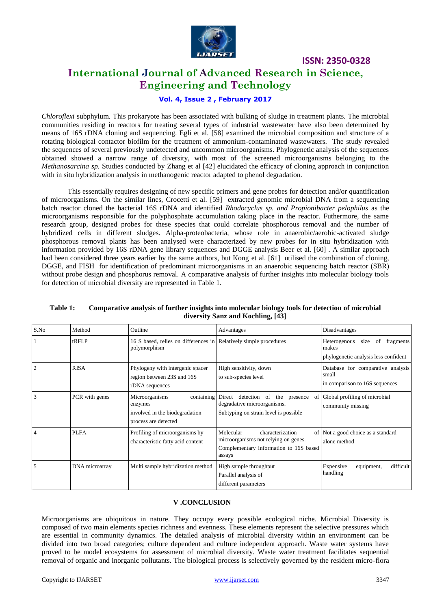

### **International Journal of Advanced Research in Science, Engineering and Technology**

#### **Vol. 4, Issue 2 , February 2017**

*Chloroflexi* subphylum*.* This prokaryote has been associated with bulking of sludge in treatment plants. The microbial communities residing in reactors for treating several types of industrial wastewater have also been determined by means of 16S rDNA cloning and sequencing. Egli et al. [58] examined the microbial composition and structure of a rotating biological contactor biofilm for the treatment of ammonium-contaminated wastewaters. The study revealed the sequences of several previously undetected and uncommon microorganisms. Phylogenetic analysis of the sequences obtained showed a narrow range of diversity, with most of the screened microorganisms belonging to the *Methanosarcina sp.* Studies conducted by Zhang et al [42] elucidated the efficacy of cloning approach in conjunction with in situ hybridization analysis in methanogenic reactor adapted to phenol degradation.

This essentially requires designing of new specific primers and gene probes for detection and/or quantification of microorganisms. On the similar lines, Crocetti et al. [59] extracted genomic microbial DNA from a sequencing batch reactor cloned the bacterial 16S rDNA and identified *Rhodocyclus sp. and Propionibacter pelophilus* as the microorganisms responsible for the polyphosphate accumulation taking place in the reactor. Futhermore, the same research group, designed probes for these species that could correlate phosphorous removal and the number of hybridized cells in different sludges. Alpha-proteobacteria, whose role in anaerobic/aerobic-activated sludge phosphorous removal plants has been analysed were characterized by new probes for in situ hybridization with information provided by 16S rDNA gene library sequences and DGGE analysis Beer et al. [60] . A similar approach had been considered three years earlier by the same authors, but Kong et al. [61] utilised the combination of cloning, DGGE, and FISH for identification of predominant microorganisms in an anaerobic sequencing batch reactor (SBR) without probe design and phosphorus removal. A comparative analysis of further insights into molecular biology tools for detection of microbial diversity are represented in Table 1.

| S.No | Method         | Outline                                                                             | Advantages                                                                                                                    | Disadvantages                                                                            |
|------|----------------|-------------------------------------------------------------------------------------|-------------------------------------------------------------------------------------------------------------------------------|------------------------------------------------------------------------------------------|
|      | $t$ RFLP       | 16 S based, relies on differences in Relatively simple procedures<br>polymorphism   |                                                                                                                               | of<br>fragments<br>Heterogenous<br>size<br>makes<br>phylogenetic analysis less confident |
|      | <b>RISA</b>    | Phylogeny with intergenic spacer<br>region between 23S and 16S<br>rDNA sequences    | High sensitivity, down<br>to sub-species level                                                                                | Database for comparative analysis<br>small<br>in comparison to 16S sequences             |
|      | PCR with genes | Microorganisms<br>enzymes<br>involved in the biodegradation<br>process are detected | containing Direct detection of the<br>presence<br>0f<br>degradative microorganisms.<br>Subtyping on strain level is possible. | Global profiling of microbial<br>community missing                                       |
|      | <b>PLFA</b>    | Profiling of microorganisms by<br>characteristic fatty acid content                 | Molecular<br>characterization<br>microorganisms not relying on genes.<br>Complementary information to 16S based<br>assays     | of Not a good choice as a standard<br>alone method                                       |
| 5    | DNA microarray | Multi sample hybridization method                                                   | High sample throughput<br>Parallel analysis of<br>different parameters                                                        | difficult<br>Expensive<br>equipment,<br>handling                                         |

#### **Table 1: Comparative analysis of further insights into molecular biology tools for detection of microbial diversity Sanz and Kochling, [43]**

#### **V .CONCLUSION**

Microorganisms are ubiquitous in nature. They occupy every possible ecological niche. Microbial Diversity is composed of two main elements species richness and evenness. These elements represent the selective pressures which are essential in community dynamics. The detailed analysis of microbial diversity within an environment can be divided into two broad categories; culture dependent and culture independent approach. Waste water systems have proved to be model ecosystems for assessment of microbial diversity. Waste water treatment facilitates sequential removal of organic and inorganic pollutants. The biological process is selectively governed by the resident micro-flora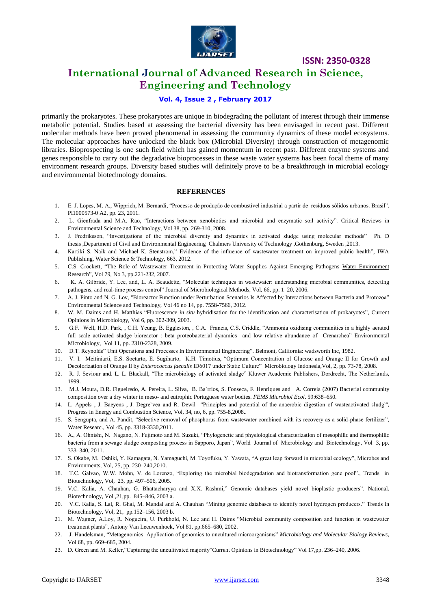

### **International Journal of Advanced Research in Science, Engineering and Technology**

#### **Vol. 4, Issue 2 , February 2017**

primarily the prokaryotes. These prokaryotes are unique in biodegrading the pollutant of interest through their immense metabolic potential. Studies based at assessing the bacterial diversity has been envisaged in recent past. Different molecular methods have been proved phenomenal in assessing the community dynamics of these model ecosystems. The molecular approaches have unlocked the black box (Microbial Diversity) through construction of metagenomic libraries. Bioprospecting is one such field which has gained momentum in recent past. Different enzyme systems and genes responsible to carry out the degradative bioprocesses in these waste water systems has been focal theme of many environment research groups. Diversity based studies will definitely prove to be a breakthrough in microbial ecology and environmental biotechnology domains.

#### **REFERENCES**

- 1. E. J. Lopes, M. A., Wipprich, M. Bernardi, "Processo de produção de combustível industrial a partir de resíduos sólidos urbanos. Brasil". PI1000573-0 A2, pp. 23, 2011.
- 2. L. Gienfrada and M.A. Rao, "Interactions between xenobiotics and microbial and enzymatic soil activity". Critical Reviews in Environmental Science and Technology, Vol 38, pp. 269-310, 2008.
- 3. J. Fredriksson, "Investigations of the microbial diversity and dynamics in activated sludge using molecular methods" Ph. D thesis ,Department of Civil and Environmental Engineering Chalmers University of Technology ,Gothenburg, Sweden ,2013.
- 4. Kartiki S. Naik and Michael K. Stenstrom," Evidence of the influence of wastewater treatment on improved public health", IWA Publishing, Water Science & Technology, 663, 2012.
- 5. C.S. Crockett, "The Role of Wastewater Treatment in Protecting Water Supplies Against Emerging Pathogens [Water Environment](http://www.ingentaconnect.com/content/wef/wer;jsessionid=2csh8rdxqrlmb.x-ic-live-03) [Research"](http://www.ingentaconnect.com/content/wef/wer;jsessionid=2csh8rdxqrlmb.x-ic-live-03), Vol 79, No 3, pp.221-232, 2007.
- 6. K. A. Gilbride, Y. Lee, and, L. A. Beaudette, "Molecular techniques in wastewater: understanding microbial communities, detecting pathogens, and real-time process control" Journal of Microbiological Methods, Vol, 66, pp. 1–20, 2006.
- 7. A. J. Pinto and N. G. Lov, "Bioreactor Function under Perturbation Scenarios Is Affected by Interactions between Bacteria and Protozoa" Environmental Science and Technology, Vol 46 no 14, pp. 7558-7566, 2012.
- 8. W. M. Daims and H. Matthias "Fluorescence *in situ* [hybridisation for the identification and characterisation of prokaryotes"](http://www.sciencedirect.com/science/article/pii/S1369527403000547), Current Opinions in Microbiology, Vol 6, pp. 302-309, 2003.
- 9. G.F. Well, H.D. Park, , C.H. Yeung, B. Eggleston, , C.A. Francis, C.S. Criddle, "Ammonia oxidising communities in a highly aerated full scale activated sludge bioreactor : beta proteobacterial dynamics and low relative abundance of Crenarchea" Environmental Microbiology, Vol 11, pp. 2310-2328, 2009.
- 10. D.T. Reynolds" Unit Operations and Processes In Environmental Engineering"*.* Belmont, California: wadsworth Inc, 1982.
- 11. V. I. Meitiniarti, E.S. Soetarto, E. Sugiharto, K.H. Timotius, "Optimum Concentration of Glucose and Orange II for Growth and Decolorization of Orange II by *Enterococcus faecalis* ID6017 under Static Culture"Microbiology Indonesia,Vol, 2, pp. 73-78, 2008.
- 12. R. J. Seviour and. L. L. Blackall, "The microbiology of activated sludge" Kluwer Academic Publishers, Dordrecht, The Netherlands, 1999.
- 13. M.J. Moura, D.R. Figueiredo, A. Pereira, L. Silva, B. Ba´rrios, S. Fonseca, F. Henriques and A. Correia (2007) Bacterial community composition over a dry winter in meso- and eutrophic Portuguese water bodies. *FEMS Microbiol Ecol*. 59:638–650.
- 14. L. Appels , J. Baeyens , J. Degre`vea and R. Dewil "Principles and potential of the anaerobic digestion of wasteactivated sludg"', Progress in Energy and Combustion Science, Vol, 34, no, 6, pp. 755-8,2008..
- 15. S. Sengupta, and A. Pandit, "Selective removal of phosphorus from wastewater combined with its recovery as a solid-phase fertilizer", Water Researc., Vol 45, pp. 3318-3330,2011.
- 16. A., A. Ohnishi, N. Nagano, N. Fujimoto and M. Suzuki, "Phylogenetic and physiological characterization of mesophilic and thermophilic bacteria from a sewage sludge composting process in Sapporo, Japan", World Journal of Microbiology and Biotechnology, Vol 3, pp. 333–340, 2011.
- 17. S. Okabe, M. Oshiki, Y. Kamagata, N. Yamaguchi, M. Toyofuku, Y. Yawata, "A great leap forward in microbial ecology", Microbes and Environments, Vol, 25, pp. 230–240,2010.
- 18. T.C. Galvao, W.W. Mohn, V. de Lorenzo, "Exploring the microbial biodegradation and biotransformation gene pool"., Trends in Biotechnology, Vol, 23, pp. 497–506, 2005.
- 19. V.C. Kalia, A. Chauhan, G. Bhattacharyya and X.X. Rashmi," Genomic databases yield novel bioplastic producers". National. Biotechnology, Vol ,21,pp. 845–846, 2003 a.
- 20. V.C. Kalia, S. Lal, R. Ghai, M. Mandal and A. Chauhan "Mining genomic databases to identify novel hydrogen producers." Trends in Biotechnology, Vol, 21, pp.152–156, 2003 b.
- 21. M. Wagner, A.Loy, R. Nogueira, U. Purkhold, N. Lee and H. Daims "Microbial community composition and function in wastewater treatment plants", Antony Van Leeuwenhoek*,* Vol 81, pp.665–680, 2002.
- 22. J. Handelsman, "Metagenomics: Application of genomics to uncultured microorganisms" *Microbiology and Molecular Biology Reviews*, Vol 68, pp. 669–685, 2004.
- 23. D. Green and M. Keller,"Capturing the uncultivated majority"Current Opinions in Biotechnology" Vol 17,pp. 236–240, 2006.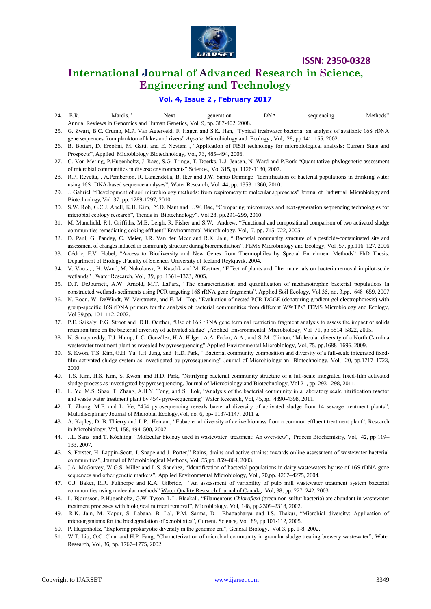

### **International Journal of Advanced Research in Science, Engineering and Technology**

#### **Vol. 4, Issue 2 , February 2017**

- 24. E.R. Mardis," Next generation DNA sequencing Methods" Annual Reviews in Genomics and Human Genetics, Vol, 9, pp. 387-402, 2008.
- 25. G. Zwart, B.C. Crump, M.P. Van Agterveld, F. Hagen and S.K. Han, "Typical freshwater bacteria: an analysis of available 16S rDNA gene sequences from plankton of lakes and rivers" *Aquatic* Microbiology and Ecology , Vol, 28, pp.141–155, 2002.
- 26. B. Bottari, D. Ercolini, M. Gatti, and E. Neviani , "Application of FISH technology for microbiological analysis: Current State and Prospects", Applied Microbiology Biotechnology, Vol, 73, 485–494, 2006.
- 27. C. Von Mering, P.Hugenholtz, J. Raes, S.G. Tringe, T. Doerks, L.J. Jensen, N. Ward and P.Bork "Quantitative phylogenetic assessment of microbial communities in diverse environments" Science., Vol 315,pp. 1126-1130, 2007.
- 28. R.P. Revetta, , A.Pemberton, R. Lamendella, B. Iker and J.W. Santo Domingo "Identification of bacterial populations in drinking water using 16S rDNA-based sequence analyses", Water Research, Vol 44, pp. 1353–1360, 2010.
- 29. J. Gabriel, "Development of soil microbiology methods: from respirometry to molecular approaches" Journal of Industrial Microbiology and Biotechnology*,* Vol 37, pp. 1289-1297, 2010.
- 30. S.W. Roh, G.C.J. Abell, K.H. Kim, Y.D. Nam and J.W. Bae, "Comparing microarrays and next-generation sequencing technologies for microbial ecology research", Trends in Biotechnology". Vol 28, pp.291–299, 2010.
- 31. M. Manefield, R.I. Griffiths, M.B. Leigh, R. Fisher and S.W. Andrew, "Functional and compositional comparison of two activated sludge communities remediating coking effluent" Environmental Microbiology, Vol, 7, pp. 715–722, 2005.
- 32. D. Paul, G. Pandey, C. Meier, J.R. Van der Meer and R.K. Jain, " Bacterial community structure of a pesticide-contaminated site and assessment of changes induced in community structure during bioremediation", FEMS Microbiology and Ecology, Vol ,57, pp.116–127, 2006.
- 33. Cédric, F.V. Hobel, "Access to Biodiversity and New Genes from Thermophiles by Special Enrichment Methods" PhD Thesis. Department of Biology .Faculty of Sciences University of Iceland Reykjavik, 2004.
- 34. V. Vacca, , H. Wand, M. Nokolausz, P. Kuschk and M. Kastner, "Effect of plants and filter materials on bacteria removal in pilot-scale wetlands" , Water Research, Vol, 39, pp. 1361–1373, 2005.
- 35. D.T. DeJournett, A.W. Arnold, M.T. LaPara, "The characterization and quantification of methanotrophic bacterial populations in constructed wetlands sediments using PCR targeting 16S rRNA gene fragments". Applied Soil Ecology, Vol 35, no. 3,pp. 648–659, 2007.
- 36. N. Boon, W. DeWindt, W. Verstraete, and E. M. Top, "Evaluation of nested PCR-DGGE (denaturing gradient gel electrophoresis) with group-specific 16S rDNA primers for the analysis of bacterial communities from different WWTPs" FEMS Microbiology and Ecology*,* Vol 39,pp. 101–112, 2002.
- 37. P.E. Saikaly, P.G. Stroot and D.B. Oerther, "Use of 16S rRNA gene terminal restriction fragment analysis to assess the impact of solids retention time on the bacterial diversity of activated sludge" ,Applied Environmental Microbiology, Vol 71, pp 5814–5822, 2005.
- 38. N. Sanapareddy, T.J. Hamp, L.C. González, H.A. Hilger, A.A. Fodor, A.A., and S..M. Clinton, "Molecular diversity of a North Carolina wastewater treatment plant as revealed by pyrosequencing" Applied Environmental Microbiology, Vol, 75, pp.1688–1696, 2009.
- 39. S. Kwon, T.S. Kim, G.H. Yu, J.H. Jung, and H.D. Park, " Bacterial community composition and diversity of a full-scale integrated fixedfilm activated sludge system as investigated by pyrosequencing" Journal of Microbiology an Biotechnology, Vol, 20, pp.1717–1723, 2010.
- 40. T.S. Kim, H.S. Kim, S. Kwon, and H.D. Park, "Nitrifying bacterial community structure of a full-scale integrated fixed-film activated sludge process as investigated by pyrosequencing. Journal of Microbiology and Biotechnology, Vol 21, pp. 293– 298, 2011.
- 41. L. Ye, M.S. Shao, T. Zhang, A.H.Y. Tong, and S. Lok, "Analysis of the bacterial community in a laboratory scale nitrification reactor and waste water treatment plant by 454- pyro-sequencing" Water Research, Vol, 45,pp. 4390-4398, 2011.
- 42. T. Zhang, M.F. and L. Ye, "454 pyrosequencing reveals bacterial diversity of activated sludge from 14 sewage treatment plants", Multidisciplinary Journal of Microbial Ecology,Vol, no. 6, pp- 1137-1147, 2011 a.
- 43. A. Kapley, D. B. Thierry and J. P. Hemant, "Eubacterial diversity of active biomass from a common effluent treatment plant", Research in Microbiology, Vol, 158, 494–500, 2007.
- 44. J.L. Sanz and T. Köchling, "Molecular biology used in wastewater treatment: An overview", Process Biochemistry, Vol, 42, pp 119– 133, 2007.
- 45. S. Forster, H. Lappin-Scott, J. Snape and J. Porter," Rains, drains and active strains: towards online assessment of wastewater bacterial communities", Journal of Microbiological Methods, Vol, 55,pp. 859–864, 2003.
- 46. J.A. McGarvey, W.G.S. Miller and L.S. Sanchez, "Identification of bacterial populations in dairy wastewaters by use of 16S rDNA gene sequences and other genetic markers", Applied Environmental Microbiology, Vol , 70,pp. 4267–4275, 2004.
- 47. C.J. Baker, R.R. Fulthorpe and K.A. Gilbride, "An assessment of variability of pulp mill wastewater treatment system bacterial communities using molecular methods" [Water Quality Research Journal of Canada,](http://wqrjc.iwaponline.com/) Vol, 38, pp. 227–242, 2003.
- 48. L. Bjornsson, P.Hugenholtz, G.W. Tyson, L.L. Blackall, "Filamentous *Chloroflexi* (green non-sulfur bacteria) are abundant in wastewater treatment processes with biological nutrient removal", Microbiology*,* Vol, 148, pp.2309–2318, 2002.
- 49. R.K. Jain, M. Kapur, S. Labana, B. Lal, P.M. Sarma, D. Bhattacharya and I.S. Thakur, "Microbial diversity: Application of microorganisms for the biodegradation of xenobiotics", Current. Science, Vol 89, pp.101-112, 2005.
- 50. P. Hugenholtz, "Exploring prokaryotic diversity in the genomic era", General Biology*,* Vol 3, pp. 1-8, 2002.
- 51. W.T. Liu, O.C. Chan and H.P. Fang, "Characterization of microbial community in granular sludge treating brewery wastewater", Water Research, Vol, 36, pp. 1767–1775, 2002.